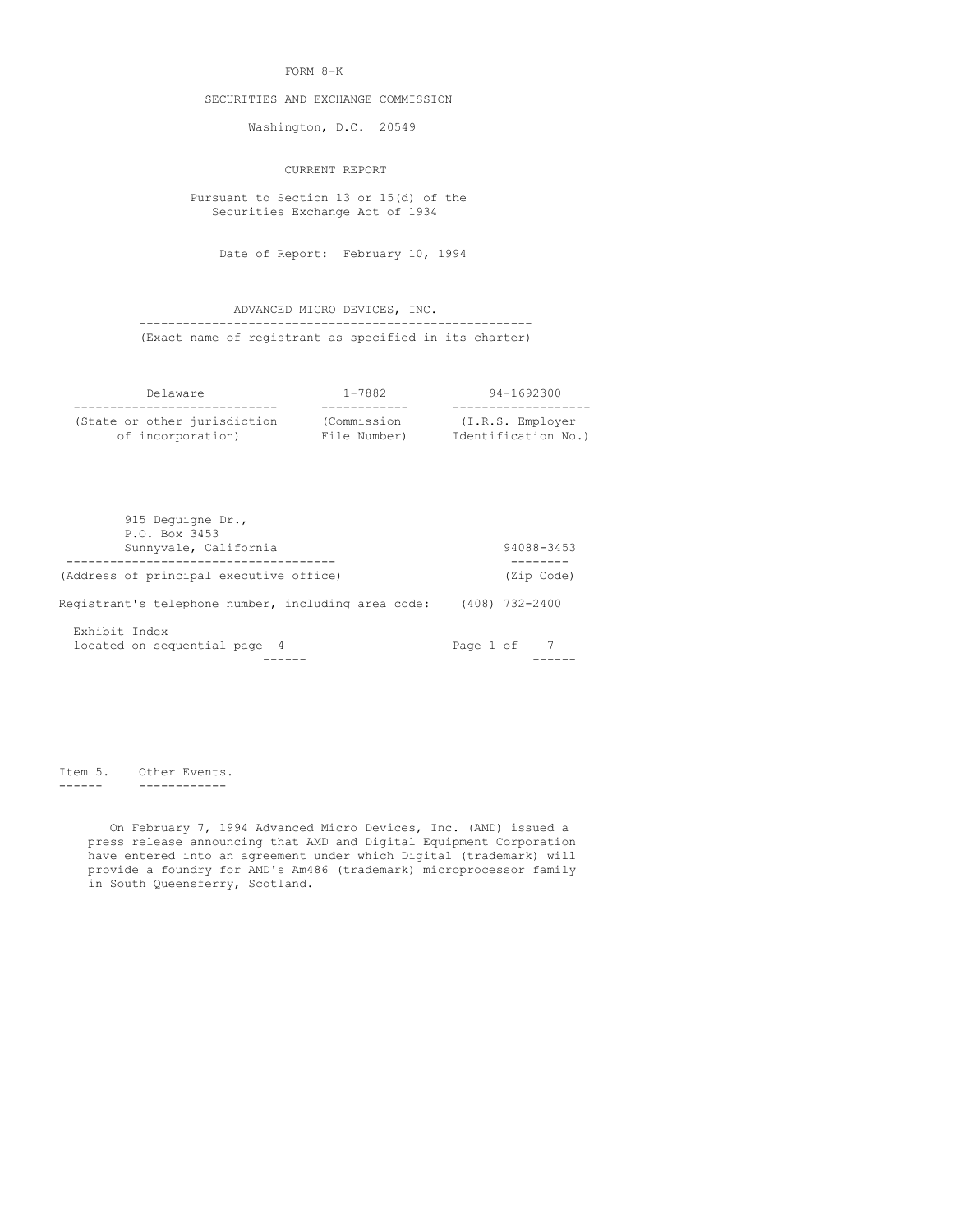### FORM 8-K

## SECURITIES AND EXCHANGE COMMISSION

Washington, D.C. 20549

CURRENT REPORT

 Pursuant to Section 13 or 15(d) of the Securities Exchange Act of 1934

Date of Report: February 10, 1994

 ADVANCED MICRO DEVICES, INC. ------------------------------------------------------ (Exact name of registrant as specified in its charter)

| Delaware                     | $1 - 7882$   | 94-1692300          |
|------------------------------|--------------|---------------------|
|                              |              |                     |
| (State or other jurisdiction | (Commission  | (I.R.S. Emplover    |
| of incorporation)            | File Number) | Identification No.) |

| Exhibit Index<br>located on sequential page 4       | Page 1 of | - 7              |
|-----------------------------------------------------|-----------|------------------|
| Registrant's telephone number, including area code: |           | $(408)$ 732-2400 |
| (Address of principal executive office)             |           | (Zip Code)       |
| P.O. Box 3453<br>Sunnyvale, California              |           | 94088-3453       |
| 915 Dequigne Dr.,                                   |           |                  |

 Item 5. Other Events. ------ ------------

> On February 7, 1994 Advanced Micro Devices, Inc. (AMD) issued a press release announcing that AMD and Digital Equipment Corporation have entered into an agreement under which Digital (trademark) will provide a foundry for AMD's Am486 (trademark) microprocessor family in South Queensferry, Scotland.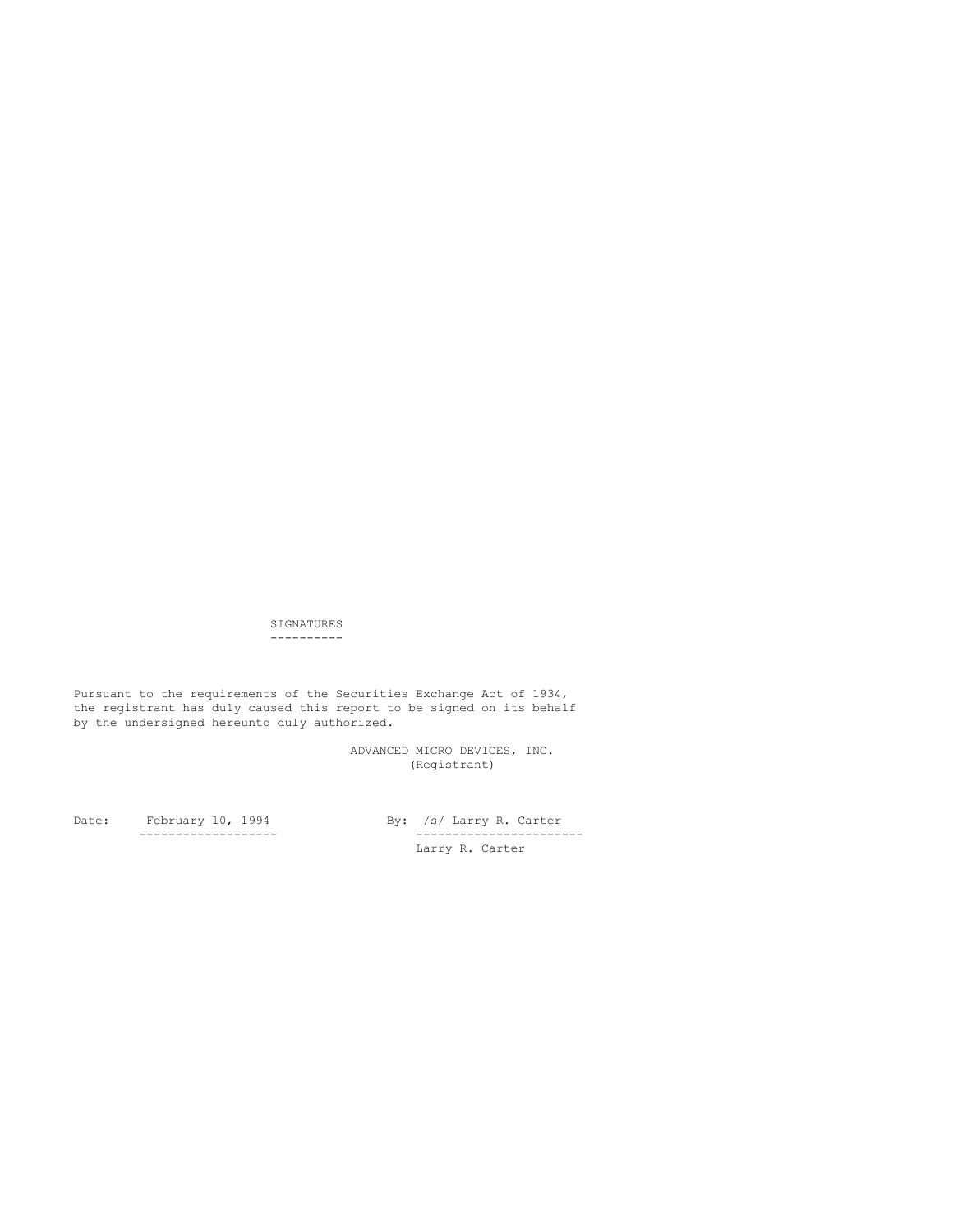SIGNATURES ----------

 Pursuant to the requirements of the Securities Exchange Act of 1934, the registrant has duly caused this report to be signed on its behalf by the undersigned hereunto duly authorized.

> ADVANCED MICRO DEVICES, INC. (Registrant)

Date: February 10, 1994 By: /s/ Larry R. Carter

 ------------------- ----------------------- Larry R. Carter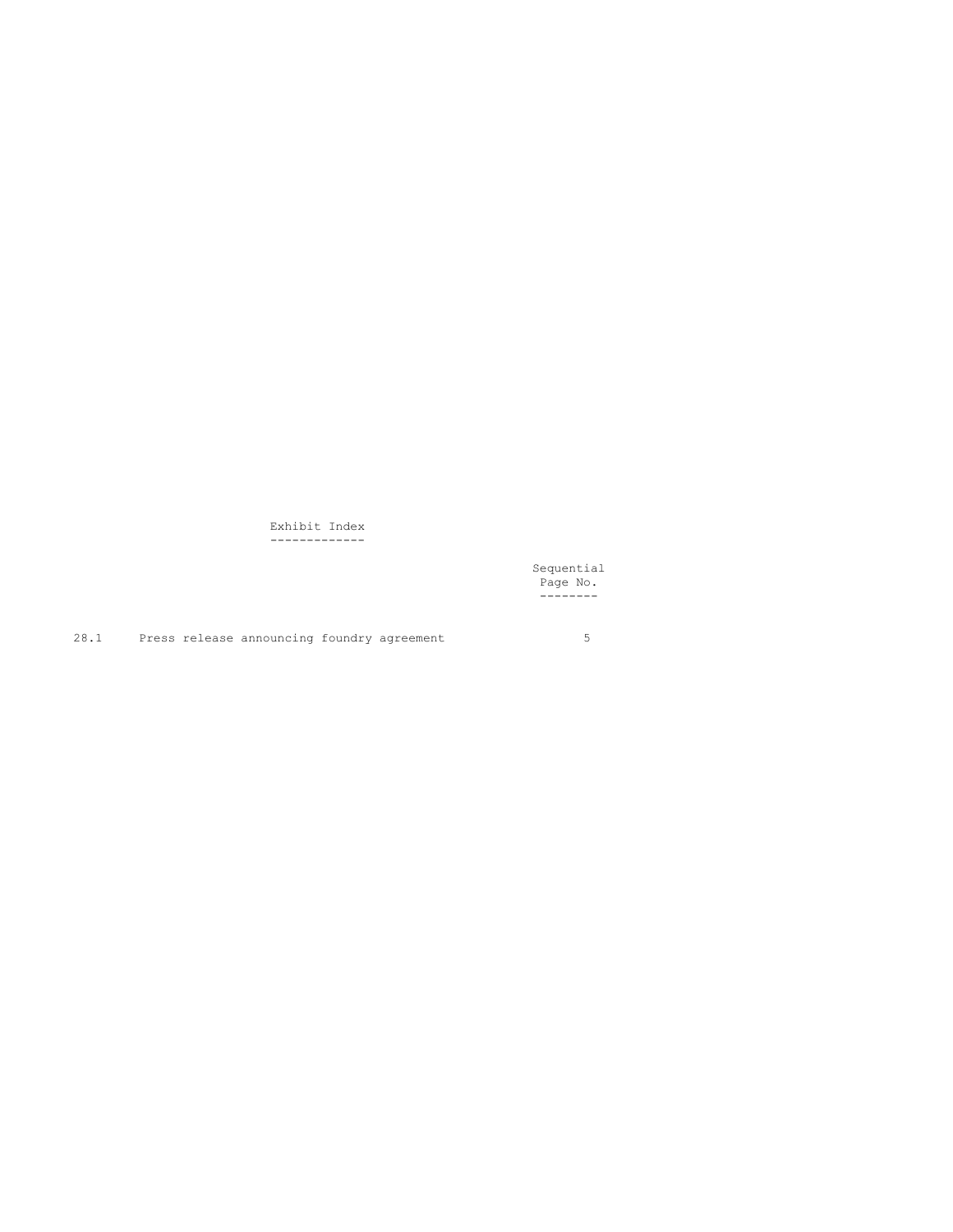Exhibit Index -------------

Sequential Sequential Sequential Sequential Sequential Sequential Sequential Sequential Sequential Sequential Sequential Sequential Sequential Sequential Sequential Sequential Sequential Sequential Sequential Sequential Se **Page No. Page No.** --------

28.1 Press release announcing foundry agreement 5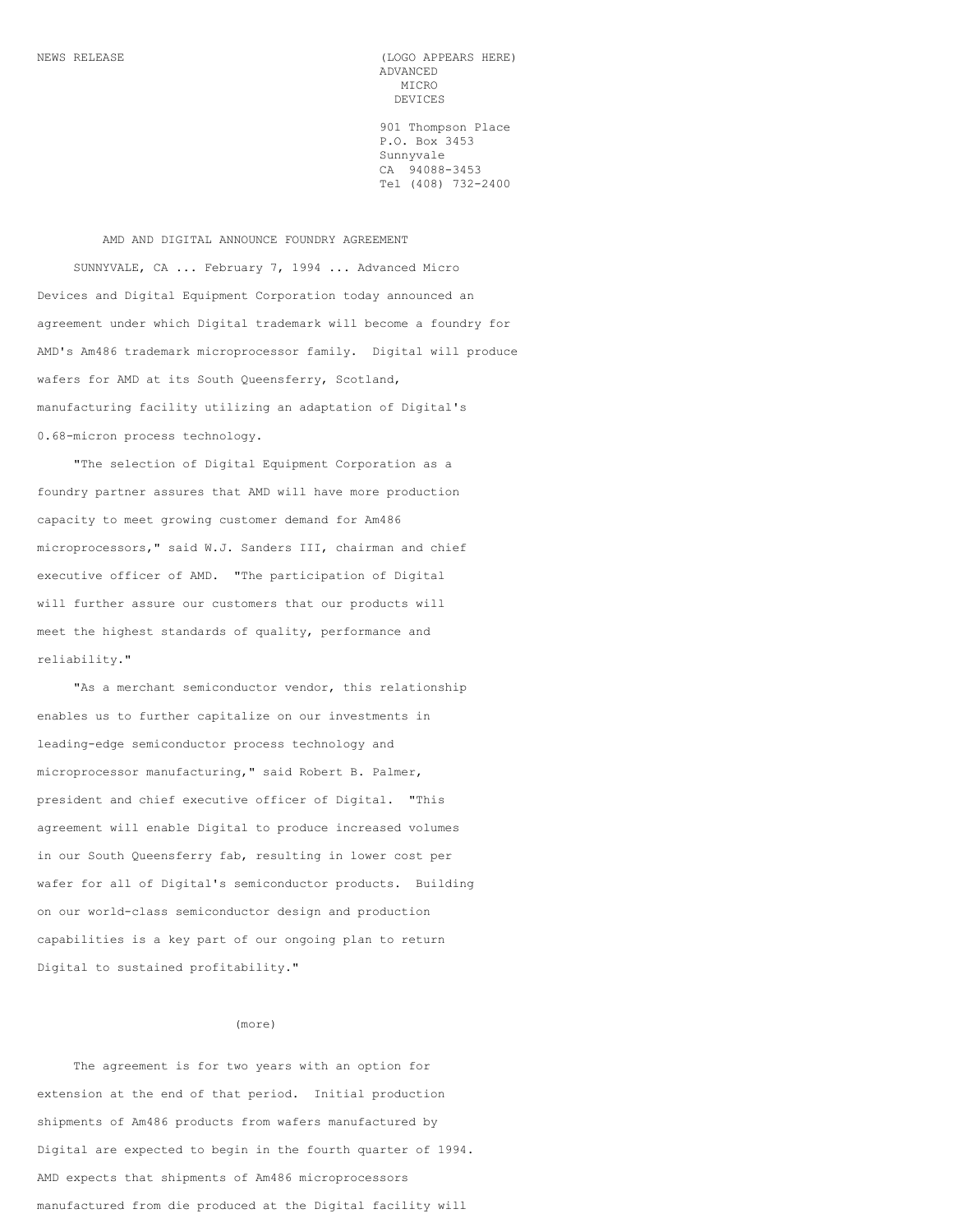NEWS RELEASE (LOGO APPEARS HERE) ADVANCED MICRO DEVICES

> 901 Thompson Place P.O. Box 3453 Sunnyvale CA 94088-3453 Tel (408) 732-2400

 AMD AND DIGITAL ANNOUNCE FOUNDRY AGREEMENT SUNNYVALE, CA ... February 7, 1994 ... Advanced Micro Devices and Digital Equipment Corporation today announced an agreement under which Digital trademark will become a foundry for AMD's Am486 trademark microprocessor family. Digital will produce wafers for AMD at its South Queensferry, Scotland, manufacturing facility utilizing an adaptation of Digital's 0.68-micron process technology.

 "The selection of Digital Equipment Corporation as a foundry partner assures that AMD will have more production capacity to meet growing customer demand for Am486 microprocessors," said W.J. Sanders III, chairman and chief executive officer of AMD. "The participation of Digital will further assure our customers that our products will meet the highest standards of quality, performance and reliability."

 "As a merchant semiconductor vendor, this relationship enables us to further capitalize on our investments in leading-edge semiconductor process technology and microprocessor manufacturing," said Robert B. Palmer, president and chief executive officer of Digital. "This agreement will enable Digital to produce increased volumes in our South Queensferry fab, resulting in lower cost per wafer for all of Digital's semiconductor products. Building on our world-class semiconductor design and production capabilities is a key part of our ongoing plan to return Digital to sustained profitability."

# (more)

 The agreement is for two years with an option for extension at the end of that period. Initial production shipments of Am486 products from wafers manufactured by Digital are expected to begin in the fourth quarter of 1994. AMD expects that shipments of Am486 microprocessors manufactured from die produced at the Digital facility will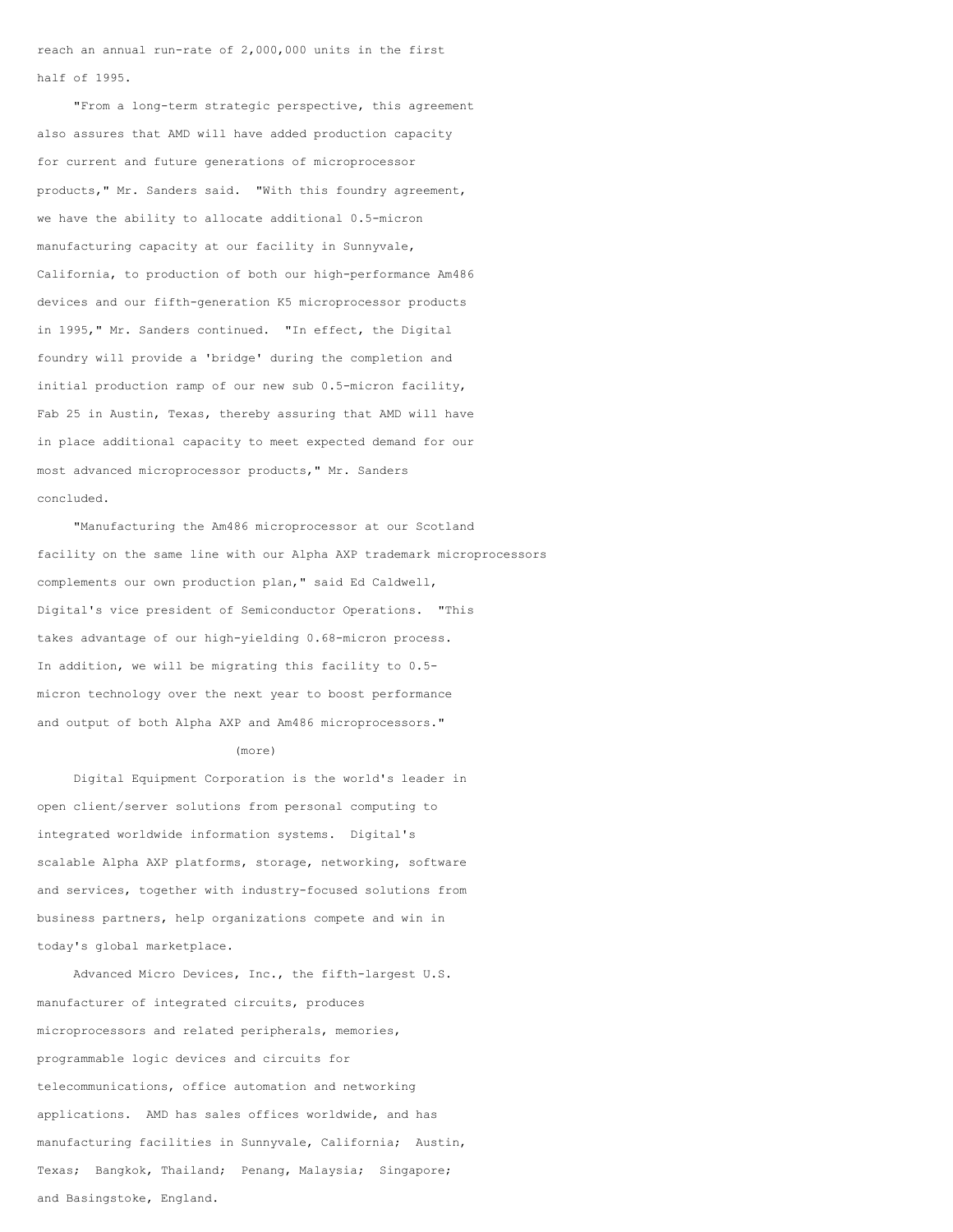reach an annual run-rate of 2,000,000 units in the first half of 1995.

 "From a long-term strategic perspective, this agreement also assures that AMD will have added production capacity for current and future generations of microprocessor products," Mr. Sanders said. "With this foundry agreement, we have the ability to allocate additional 0.5-micron manufacturing capacity at our facility in Sunnyvale, California, to production of both our high-performance Am486 devices and our fifth-generation K5 microprocessor products in 1995," Mr. Sanders continued. "In effect, the Digital foundry will provide a 'bridge' during the completion and initial production ramp of our new sub 0.5-micron facility, Fab 25 in Austin, Texas, thereby assuring that AMD will have in place additional capacity to meet expected demand for our most advanced microprocessor products," Mr. Sanders concluded.

 "Manufacturing the Am486 microprocessor at our Scotland facility on the same line with our Alpha AXP trademark microprocessors complements our own production plan," said Ed Caldwell, Digital's vice president of Semiconductor Operations. "This takes advantage of our high-yielding 0.68-micron process. In addition, we will be migrating this facility to 0.5 micron technology over the next year to boost performance and output of both Alpha AXP and Am486 microprocessors."

## (more)

 Digital Equipment Corporation is the world's leader in open client/server solutions from personal computing to integrated worldwide information systems. Digital's scalable Alpha AXP platforms, storage, networking, software and services, together with industry-focused solutions from business partners, help organizations compete and win in today's global marketplace.

 Advanced Micro Devices, Inc., the fifth-largest U.S. manufacturer of integrated circuits, produces microprocessors and related peripherals, memories, programmable logic devices and circuits for telecommunications, office automation and networking applications. AMD has sales offices worldwide, and has manufacturing facilities in Sunnyvale, California; Austin, Texas; Bangkok, Thailand; Penang, Malaysia; Singapore; and Basingstoke, England.